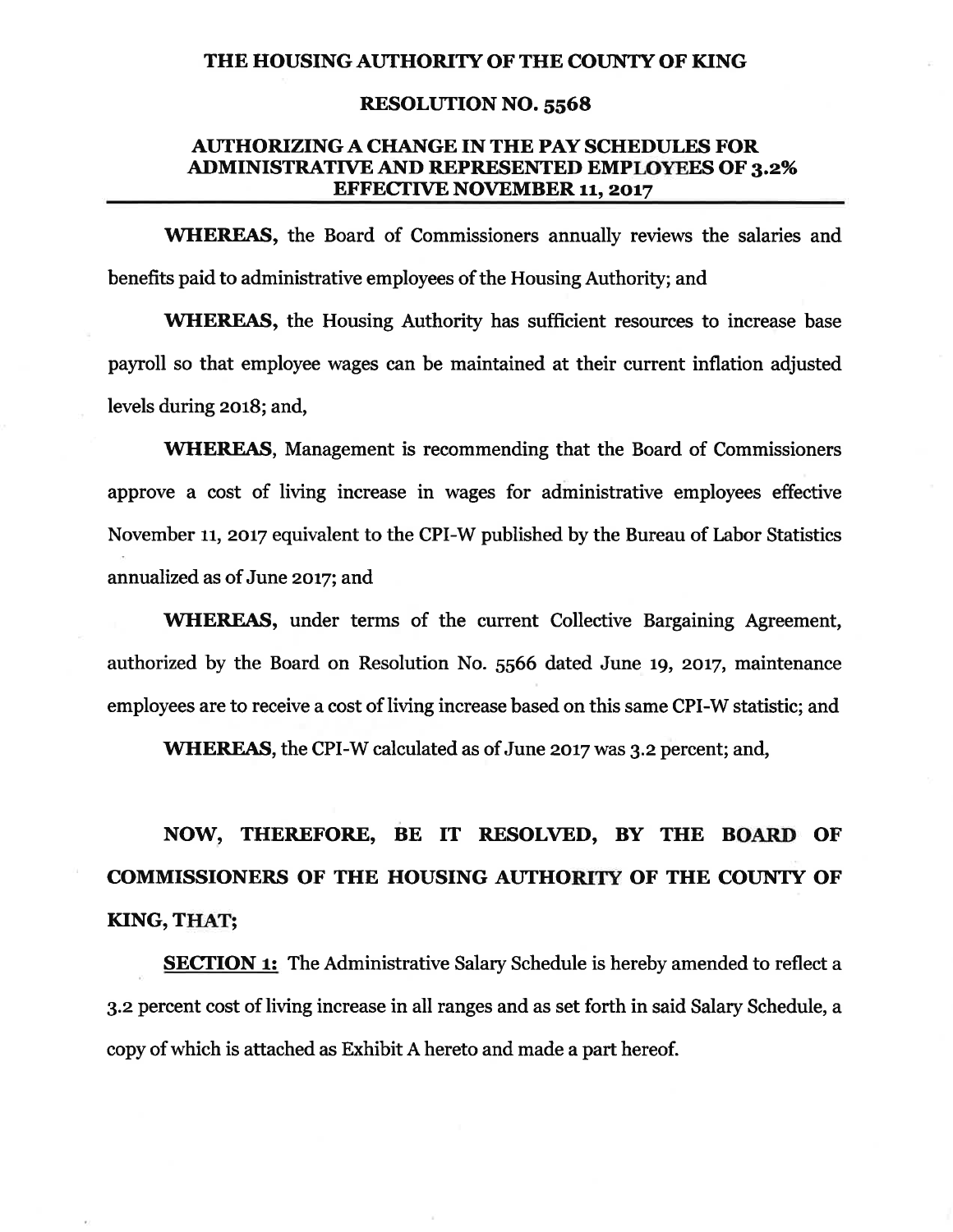### THE HOUSING AUTHORITY OF THE COUNTY OF KING

#### **RESOLUTION NO. 5568**

## **AUTHORIZING A CHANGE IN THE PAY SCHEDULES FOR ADMINISTRATIVE AND REPRESENTED EMPLOYEES OF 3.2% EFFECTIVE NOVEMBER 11, 2017**

**WHEREAS**, the Board of Commissioners annually reviews the salaries and benefits paid to administrative employees of the Housing Authority; and

**WHEREAS**, the Housing Authority has sufficient resources to increase base payroll so that employee wages can be maintained at their current inflation adjusted levels during 2018; and,

**WHEREAS, Management is recommending that the Board of Commissioners** approve a cost of living increase in wages for administrative employees effective November 11, 2017 equivalent to the CPI-W published by the Bureau of Labor Statistics annualized as of June 2017; and

**WHEREAS**, under terms of the current Collective Bargaining Agreement, authorized by the Board on Resolution No. 5566 dated June 19, 2017, maintenance employees are to receive a cost of living increase based on this same CPI-W statistic; and

WHEREAS, the CPI-W calculated as of June 2017 was 3.2 percent; and,

# NOW, THEREFORE, BE IT RESOLVED, BY THE BOARD OF **COMMISSIONERS OF THE HOUSING AUTHORITY OF THE COUNTY OF** KING, THAT;

**SECTION 1:** The Administrative Salary Schedule is hereby amended to reflect a 3.2 percent cost of living increase in all ranges and as set forth in said Salary Schedule, a copy of which is attached as Exhibit A hereto and made a part hereof.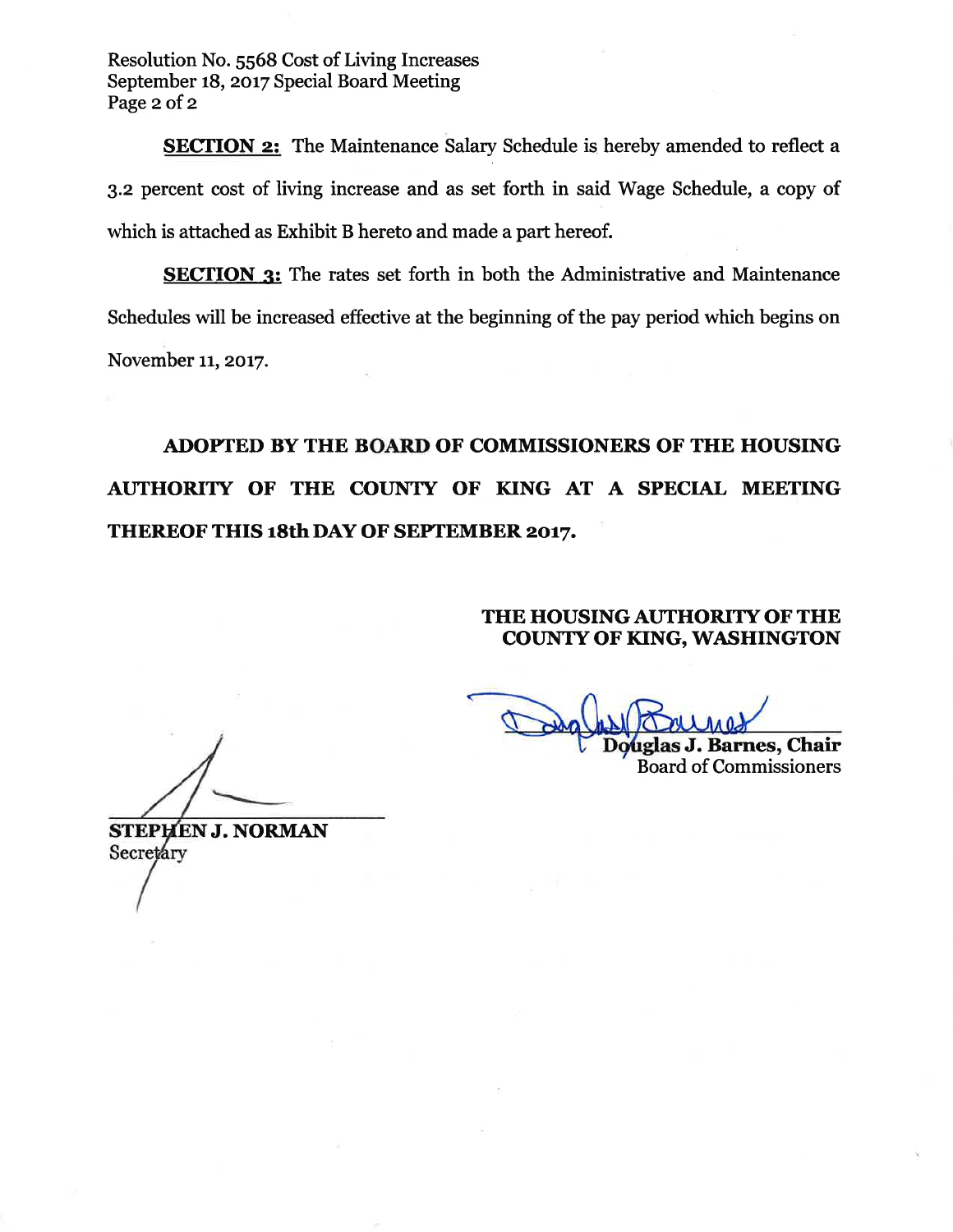Resolution No. 5568 Cost of Living Increases September 18, 2017 Special Board Meeting Page 2 of 2

**SECTION 2:** The Maintenance Salary Schedule is hereby amended to reflect a 3.2 percent cost of living increase and as set forth in said Wage Schedule, a copy of which is attached as Exhibit B hereto and made a part hereof.

**SECTION 3:** The rates set forth in both the Administrative and Maintenance Schedules will be increased effective at the beginning of the pay period which begins on November 11, 2017.

ADOPTED BY THE BOARD OF COMMISSIONERS OF THE HOUSING AUTHORITY OF THE COUNTY OF KING AT A SPECIAL MEETING THEREOF THIS 18th DAY OF SEPTEMBER 2017.

# THE HOUSING AUTHORITY OF THE **COUNTY OF KING, WASHINGTON**

uglas J. Barnes, Chair **Board of Commissioners** 

**STEPHEN J. NORMAN** Secretary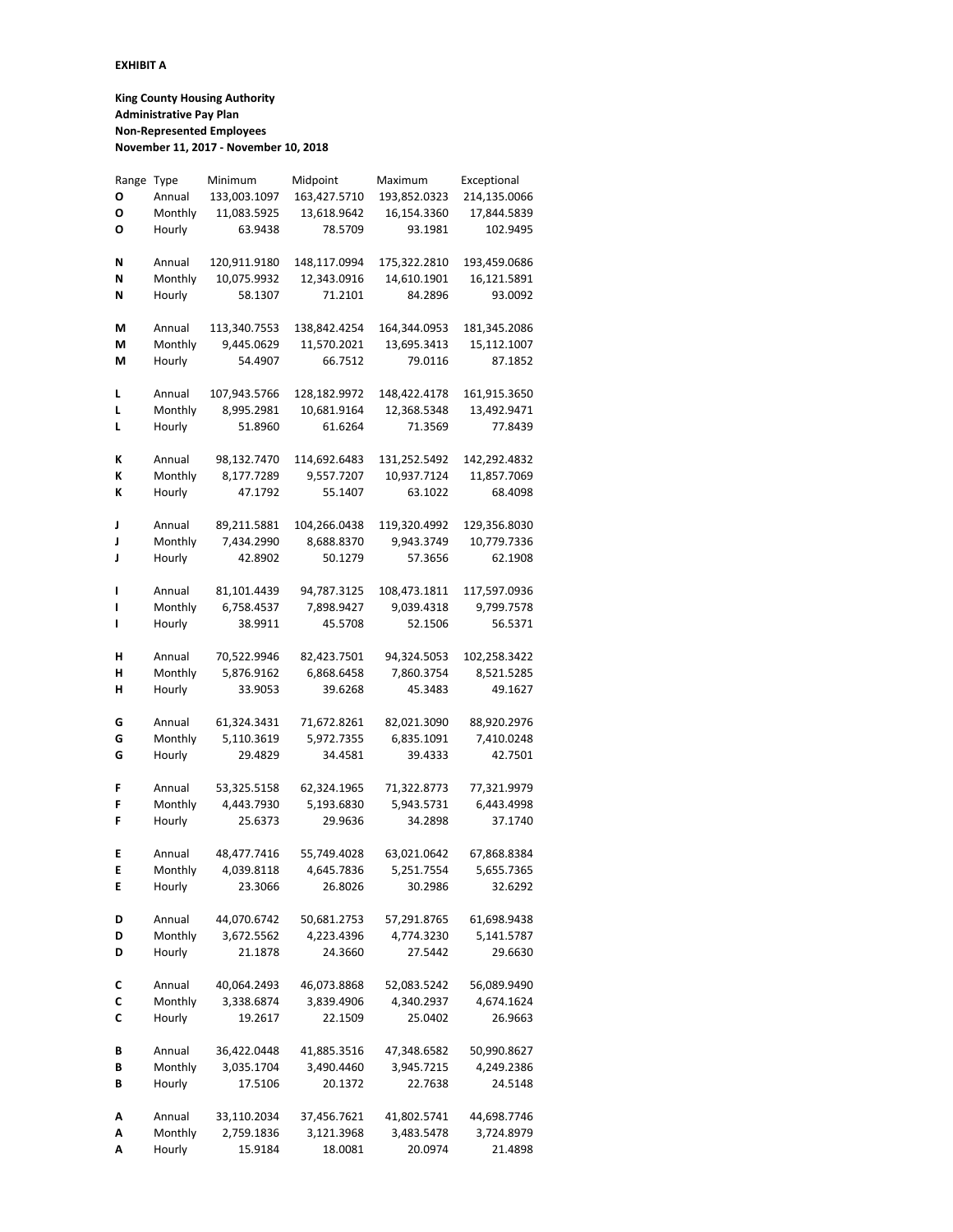#### **EXHIBIT A**

**King County Housing Authority Administrative Pay Plan Non-Represented Employees November 11, 2017 - November 10, 2018**

| Range | Type    | Minimum      | Midpoint     | Maximum      | Exceptional  |
|-------|---------|--------------|--------------|--------------|--------------|
| Ο     | Annual  | 133,003.1097 | 163,427.5710 | 193,852.0323 | 214,135.0066 |
| Ο     | Monthly | 11,083.5925  | 13,618.9642  | 16,154.3360  | 17,844.5839  |
| Ο     | Hourly  | 63.9438      | 78.5709      | 93.1981      | 102.9495     |
|       |         |              |              |              |              |
| Ν     | Annual  | 120,911.9180 | 148,117.0994 | 175,322.2810 | 193,459.0686 |
| N     | Monthly | 10,075.9932  | 12,343.0916  | 14,610.1901  | 16,121.5891  |
| Ν     | Hourly  | 58.1307      | 71.2101      | 84.2896      | 93.0092      |
|       |         |              |              |              |              |
| М     | Annual  | 113,340.7553 | 138,842.4254 | 164,344.0953 | 181,345.2086 |
| М     | Monthly | 9,445.0629   | 11,570.2021  | 13,695.3413  | 15,112.1007  |
| М     | Hourly  | 54.4907      | 66.7512      | 79.0116      | 87.1852      |
|       |         |              |              |              |              |
| L     | Annual  | 107,943.5766 | 128,182.9972 | 148,422.4178 | 161,915.3650 |
|       | Monthly |              |              |              |              |
| L     |         | 8,995.2981   | 10,681.9164  | 12,368.5348  | 13,492.9471  |
| L     | Hourly  | 51.8960      | 61.6264      | 71.3569      | 77.8439      |
|       |         |              |              |              |              |
| K     | Annual  | 98,132.7470  | 114,692.6483 | 131,252.5492 | 142,292.4832 |
| Κ     | Monthly | 8,177.7289   | 9,557.7207   | 10,937.7124  | 11,857.7069  |
| K     | Hourly  | 47.1792      | 55.1407      | 63.1022      | 68.4098      |
|       |         |              |              |              |              |
| J     | Annual  | 89,211.5881  | 104,266.0438 | 119,320.4992 | 129,356.8030 |
| J     | Monthly | 7,434.2990   | 8,688.8370   | 9,943.3749   | 10,779.7336  |
| J     | Hourly  | 42.8902      | 50.1279      | 57.3656      | 62.1908      |
|       |         |              |              |              |              |
| I     | Annual  | 81,101.4439  | 94,787.3125  | 108,473.1811 | 117,597.0936 |
| ı     | Monthly | 6,758.4537   | 7,898.9427   | 9,039.4318   | 9,799.7578   |
| ı     | Hourly  | 38.9911      | 45.5708      | 52.1506      | 56.5371      |
|       |         |              |              |              |              |
| н     | Annual  | 70,522.9946  | 82,423.7501  | 94,324.5053  | 102,258.3422 |
| н     | Monthly | 5,876.9162   | 6,868.6458   | 7,860.3754   | 8,521.5285   |
| н     | Hourly  | 33.9053      | 39.6268      | 45.3483      | 49.1627      |
|       |         |              |              |              |              |
| G     | Annual  | 61,324.3431  | 71,672.8261  | 82,021.3090  | 88,920.2976  |
| G     | Monthly | 5,110.3619   | 5,972.7355   | 6,835.1091   | 7,410.0248   |
| G     | Hourly  | 29.4829      | 34.4581      | 39.4333      | 42.7501      |
|       |         |              |              |              |              |
| F     | Annual  | 53,325.5158  | 62,324.1965  | 71,322.8773  | 77,321.9979  |
| F     | Monthly | 4,443.7930   | 5,193.6830   | 5,943.5731   | 6,443.4998   |
| F     | Hourly  | 25.6373      | 29.9636      | 34.2898      | 37.1740      |
|       |         |              |              |              |              |
| E     | Annual  | 48,477.7416  | 55,749.4028  | 63,021.0642  | 67,868.8384  |
| Е     | Monthlv | 4,039.8118   | 4,645.7836   | 5,251.7554   | 5,655.7365   |
| E     | Hourly  | 23.3066      | 26.8026      | 30.2986      | 32.6292      |
|       |         |              |              |              |              |
| D     | Annual  | 44,070.6742  | 50,681.2753  | 57,291.8765  | 61,698.9438  |
| D     | Monthly | 3,672.5562   | 4,223.4396   | 4,774.3230   | 5,141.5787   |
| D     | Hourly  | 21.1878      | 24.3660      | 27.5442      | 29.6630      |
|       |         |              |              |              |              |
| С     | Annual  | 40,064.2493  | 46,073.8868  | 52,083.5242  | 56,089.9490  |
| С     | Monthly | 3,338.6874   | 3,839.4906   | 4,340.2937   | 4,674.1624   |
| C     | Hourly  | 19.2617      | 22.1509      | 25.0402      | 26.9663      |
|       |         |              |              |              |              |
| В     | Annual  | 36,422.0448  | 41,885.3516  | 47,348.6582  | 50,990.8627  |
| В     | Monthly | 3,035.1704   | 3,490.4460   | 3,945.7215   | 4,249.2386   |
| В     | Hourly  | 17.5106      | 20.1372      | 22.7638      | 24.5148      |
|       |         |              |              |              |              |
| Α     | Annual  | 33,110.2034  | 37,456.7621  | 41,802.5741  | 44,698.7746  |
| Α     | Monthly | 2,759.1836   | 3,121.3968   | 3,483.5478   | 3,724.8979   |
| Α     | Hourly  | 15.9184      | 18.0081      | 20.0974      | 21.4898      |